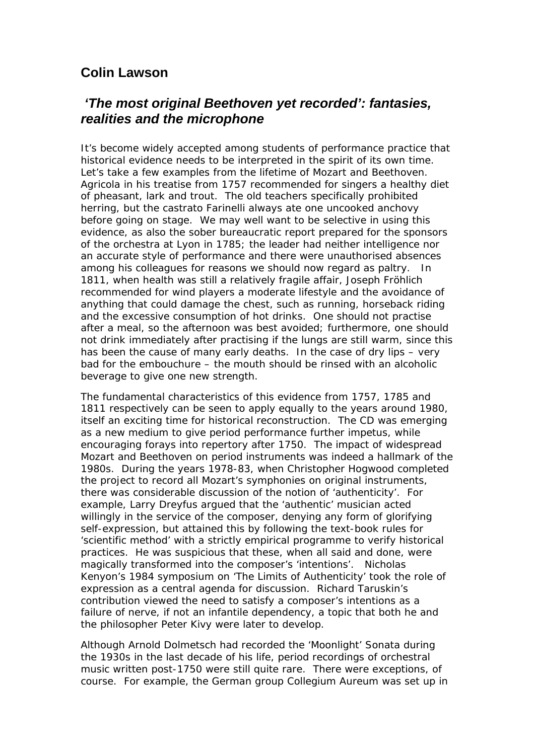## **Colin Lawson**

## *'The most original Beethoven yet recorded': fantasies, realities and the microphone*

It's become widely accepted among students of performance practice that historical evidence needs to be interpreted in the spirit of its own time. Let's take a few examples from the lifetime of Mozart and Beethoven. Agricola in his treatise from 1757 recommended for singers a healthy diet of pheasant, lark and trout. The old teachers specifically prohibited herring, but the castrato Farinelli always ate one uncooked anchovy before going on stage. We may well want to be selective in using this evidence, as also the sober bureaucratic report prepared for the sponsors of the orchestra at Lyon in 1785; the leader had neither intelligence nor an accurate style of performance and there were unauthorised absences among his colleagues for reasons we should now regard as paltry. In 1811, when health was still a relatively fragile affair, Joseph Fröhlich recommended for wind players a moderate lifestyle and the avoidance of anything that could damage the chest, such as running, horseback riding and the excessive consumption of hot drinks. One should not practise after a meal, so the afternoon was best avoided; furthermore, one should not drink immediately after practising if the lungs are still warm, since this has been the cause of many early deaths. In the case of dry lips – very bad for the embouchure – the mouth should be rinsed with an alcoholic beverage to give one new strength.

The fundamental characteristics of this evidence from 1757, 1785 and 1811 respectively can be seen to apply equally to the years around 1980, itself an exciting time for historical reconstruction. The CD was emerging as a new medium to give period performance further impetus, while encouraging forays into repertory after 1750. The impact of widespread Mozart and Beethoven on period instruments was indeed a hallmark of the 1980s. During the years 1978-83, when Christopher Hogwood completed the project to record all Mozart's symphonies on original instruments, there was considerable discussion of the notion of 'authenticity'. For example, Larry Dreyfus argued that the 'authentic' musician acted willingly in the service of the composer, denying any form of glorifying self-expression, but attained this by following the text-book rules for 'scientific method' with a strictly empirical programme to verify historical practices. He was suspicious that these, when all said and done, were magically transformed into the composer's 'intentions'. Nicholas Kenyon's 1984 symposium on 'The Limits of Authenticity' took the role of expression as a central agenda for discussion. Richard Taruskin's contribution viewed the need to satisfy a composer's intentions as a failure of nerve, if not an infantile dependency, a topic that both he and the philosopher Peter Kivy were later to develop.

Although Arnold Dolmetsch had recorded the 'Moonlight' Sonata during the 1930s in the last decade of his life, period recordings of orchestral music written post-1750 were still quite rare. There were exceptions, of course. For example, the German group Collegium Aureum was set up in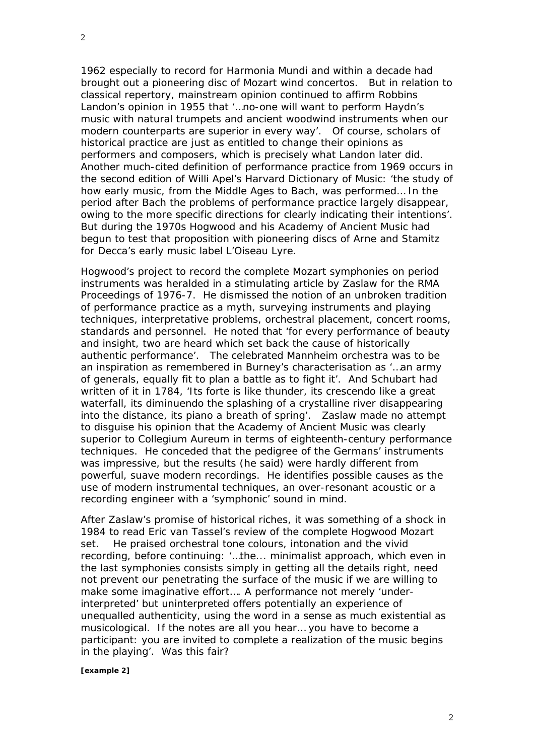1962 especially to record for Harmonia Mundi and within a decade had brought out a pioneering disc of Mozart wind concertos. But in relation to classical repertory, mainstream opinion continued to affirm Robbins Landon's opinion in 1955 that '…no-one will want to perform Haydn's music with natural trumpets and ancient woodwind instruments when our modern counterparts are superior in every way'. Of course, scholars of historical practice are just as entitled to change their opinions as performers and composers, which is precisely what Landon later did. Another much-cited definition of performance practice from 1969 occurs in the second edition of Willi Apel's *Harvard Dictionary of Music*: 'the study of how early music, from the Middle Ages to Bach, was performed… In the period after Bach the problems of performance practice largely disappear, owing to the more specific directions for clearly indicating their intentions'. But during the 1970s Hogwood and his Academy of Ancient Music had begun to test that proposition with pioneering discs of Arne and Stamitz for Decca's early music label L'Oiseau Lyre.

Hogwood's project to record the complete Mozart symphonies on period instruments was heralded in a stimulating article by Zaslaw for the RMA Proceedings of 1976-7. He dismissed the notion of an unbroken tradition of performance practice as a myth, surveying instruments and playing techniques, interpretative problems, orchestral placement, concert rooms, standards and personnel. He noted that 'for every performance of beauty and insight, two are heard which set back the cause of historically authentic performance'. The celebrated Mannheim orchestra was to be an inspiration as remembered in Burney's characterisation as '…an army of generals, equally fit to plan a battle as to fight it'. And Schubart had written of it in 1784, 'Its *forte* is like thunder, its crescendo like a great waterfall, its diminuendo the splashing of a crystalline river disappearing into the distance, its *piano* a breath of spring'. Zaslaw made no attempt to disguise his opinion that the Academy of Ancient Music was clearly superior to Collegium Aureum in terms of eighteenth-century performance techniques. He conceded that the pedigree of the Germans' instruments was impressive, but the results (he said) were hardly different from powerful, suave modern recordings. He identifies possible causes as the use of modern instrumental techniques, an over-resonant acoustic or a recording engineer with a 'symphonic' sound in mind.

After Zaslaw's promise of historical riches, it was something of a shock in 1984 to read Eric van Tassel's review of the complete Hogwood Mozart set. He praised orchestral tone colours, intonation and the vivid recording, before continuing: '…the... minimalist approach, which even in the last symphonies consists simply in getting all the details right, need not prevent our penetrating the surface of the music if we are willing to make some imaginative effort…. A performance not merely 'underinterpreted' but uninterpreted offers potentially an experience of unequalled authenticity, using the word in a sense as much existential as musicological. If the notes are all you hear… you have to become a participant: you are invited to complete a realization of the music begins in the playing'. Was this fair?

## *[example 2]*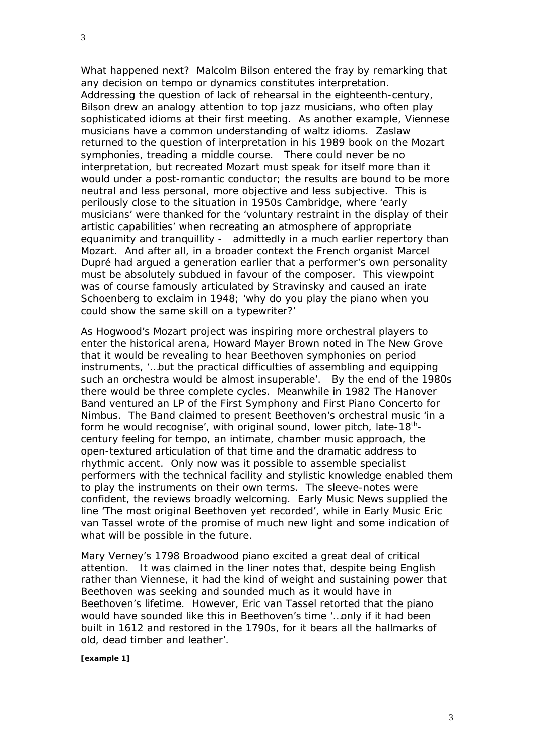What happened next? Malcolm Bilson entered the fray by remarking that *any* decision on tempo or dynamics constitutes interpretation. Addressing the question of lack of rehearsal in the eighteenth-century, Bilson drew an analogy attention to top jazz musicians, who often play sophisticated idioms at their first meeting. As another example, Viennese musicians have a common understanding of waltz idioms. Zaslaw returned to the question of interpretation in his 1989 book on the Mozart symphonies, treading a middle course. There could never be no interpretation, but recreated Mozart must speak for itself more than it would under a post-romantic conductor; the results are bound to be more neutral and less personal, more objective and less subjective. This is perilously close to the situation in 1950s Cambridge, where 'early musicians' were thanked for the 'voluntary restraint in the display of their artistic capabilities' when recreating an atmosphere of appropriate equanimity and tranquillity - admittedly in a much earlier repertory than Mozart. And after all, in a broader context the French organist Marcel Dupré had argued a generation earlier that a performer's own personality must be absolutely subdued in favour of the composer. This viewpoint was of course famously articulated by Stravinsky and caused an irate Schoenberg to exclaim in 1948; 'why do you play the piano when you could show the same skill on a typewriter?'

As Hogwood's Mozart project was inspiring more orchestral players to enter the historical arena, Howard Mayer Brown noted in *The New Grove* that it would be revealing to hear Beethoven symphonies on period instruments, '…but the practical difficulties of assembling and equipping such an orchestra would be almost insuperable'. By the end of the 1980s there would be three complete cycles. Meanwhile in 1982 The Hanover Band ventured an LP of the First Symphony and First Piano Concerto for Nimbus. The Band claimed to present Beethoven's orchestral music 'in a form he would recognise', with original sound, lower pitch, late- $18<sup>th</sup>$ century feeling for tempo, an intimate, chamber music approach, the open-textured articulation of that time and the dramatic address to rhythmic accent. Only now was it possible to assemble specialist performers with the technical facility and stylistic knowledge enabled them to play the instruments on their own terms. The sleeve-notes were confident, the reviews broadly welcoming. *Early Music News* supplied the line 'The most original Beethoven yet recorded', while in *Early Music* Eric van Tassel wrote of the promise of much new light and some indication of what will be possible in the future.

Mary Verney's 1798 Broadwood piano excited a great deal of critical attention. It was claimed in the liner notes that, despite being English rather than Viennese, it had the kind of weight and sustaining power that Beethoven was seeking and sounded much as it would have in Beethoven's lifetime. However, Eric van Tassel retorted that the piano would have sounded like this in Beethoven's time '…only if it had been built in 1612 and restored in the 1790s, for it bears all the hallmarks of old, dead timber and leather'.

*[example 1]*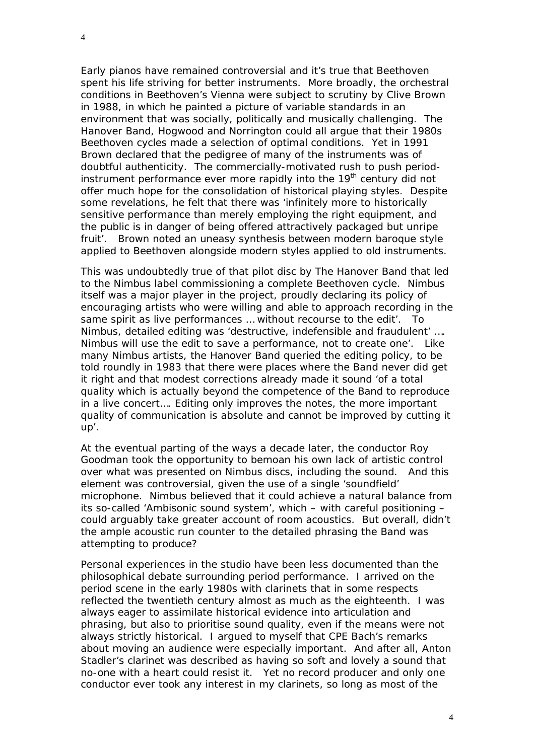Early pianos have remained controversial and it's true that Beethoven spent his life striving for better instruments. More broadly, the orchestral conditions in Beethoven's Vienna were subject to scrutiny by Clive Brown in 1988, in which he painted a picture of variable standards in an environment that was socially, politically and musically challenging. The Hanover Band, Hogwood and Norrington could all argue that their 1980s Beethoven cycles made a selection of optimal conditions. Yet in 1991 Brown declared that the pedigree of many of the instruments was of doubtful authenticity. The commercially-motivated rush to push periodinstrument performance ever more rapidly into the  $19<sup>th</sup>$  century did not offer much hope for the consolidation of historical playing styles. Despite some revelations, he felt that there was 'infinitely more to historically sensitive performance than merely employing the right equipment, and the public is in danger of being offered attractively packaged but unripe fruit'. Brown noted an uneasy synthesis between modern baroque style applied to Beethoven alongside modern styles applied to old instruments.

This was undoubtedly true of that pilot disc by The Hanover Band that led to the Nimbus label commissioning a complete Beethoven cycle. Nimbus itself was a major player in the project, proudly declaring its policy of encouraging artists who were willing and able to approach recording in the same spirit as live performances … without recourse to the edit'. To Nimbus, detailed editing was 'destructive, indefensible and fraudulent' …. Nimbus will use the edit to save a performance, not to create one'. Like many Nimbus artists, the Hanover Band queried the editing policy, to be told roundly in 1983 that there were places where the Band never did get it right and that modest corrections already made it sound 'of a total quality which is actually beyond the competence of the Band to reproduce in a live concert…. Editing only improves the notes, the more important quality of communication is absolute and cannot be improved by cutting it up'.

At the eventual parting of the ways a decade later, the conductor Roy Goodman took the opportunity to bemoan his own lack of artistic control over what was presented on Nimbus discs, including the sound. And this element was controversial, given the use of a single 'soundfield' microphone. Nimbus believed that it could achieve a natural balance from its so-called 'Ambisonic sound system', which – with careful positioning – could arguably take greater account of room acoustics. But overall, didn't the ample acoustic run counter to the detailed phrasing the Band was attempting to produce?

Personal experiences in the studio have been less documented than the philosophical debate surrounding period performance. I arrived on the period scene in the early 1980s with clarinets that in some respects reflected the twentieth century almost as much as the eighteenth. I was always eager to assimilate historical evidence into articulation and phrasing, but also to prioritise sound quality, even if the means were not always strictly historical. I argued to myself that CPE Bach's remarks about moving an audience were especially important. And after all, Anton Stadler's clarinet was described as having so soft and lovely a sound that no-one with a heart could resist it. Yet no record producer and only one conductor ever took any interest in my clarinets, so long as most of the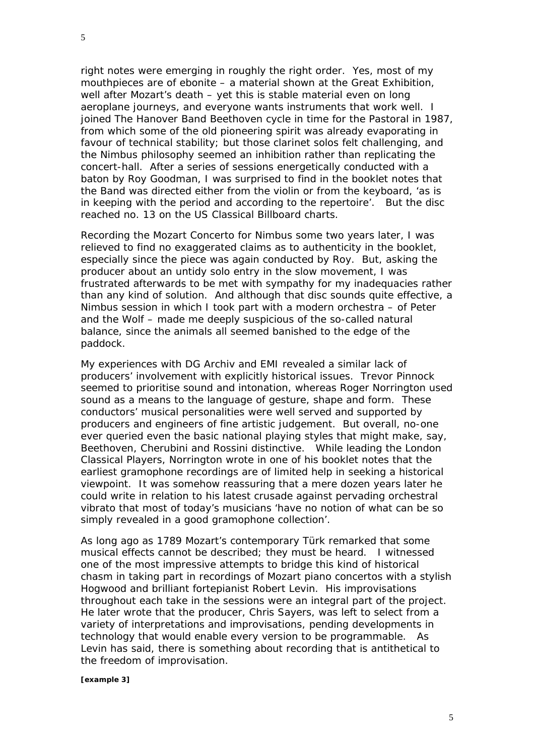5

right notes were emerging in roughly the right order. Yes, most of my mouthpieces are of ebonite – a material shown at the Great Exhibition, well after Mozart's death – yet this is stable material even on long aeroplane journeys, and everyone wants instruments that work well. I joined The Hanover Band Beethoven cycle in time for the Pastoral in 1987, from which some of the old pioneering spirit was already evaporating in favour of technical stability; but those clarinet solos felt challenging, and the Nimbus philosophy seemed an inhibition rather than replicating the concert-hall. After a series of sessions energetically conducted with a baton by Roy Goodman, I was surprised to find in the booklet notes that the Band was directed either from the violin or from the keyboard, 'as is in keeping with the period and according to the repertoire'. But the disc reached no. 13 on the US Classical Billboard charts.

Recording the Mozart Concerto for Nimbus some two years later, I was relieved to find no exaggerated claims as to authenticity in the booklet, especially since the piece was again conducted by Roy. But, asking the producer about an untidy solo entry in the slow movement, I was frustrated afterwards to be met with sympathy for my inadequacies rather than any kind of solution. And although that disc sounds quite effective, a Nimbus session in which I took part with a modern orchestra – of Peter and the Wolf – made me deeply suspicious of the so-called natural balance, since the animals all seemed banished to the edge of the paddock.

My experiences with DG Archiv and EMI revealed a similar lack of producers' involvement with explicitly historical issues. Trevor Pinnock seemed to prioritise sound and intonation, whereas Roger Norrington used sound as a means to the language of gesture, shape and form. These conductors' musical personalities were well served and supported by producers and engineers of fine artistic judgement. But overall, no-one ever queried even the basic national playing styles that might make, say, Beethoven, Cherubini and Rossini distinctive. While leading the London Classical Players, Norrington wrote in one of his booklet notes that the earliest gramophone recordings are of limited help in seeking a historical viewpoint. It was somehow reassuring that a mere dozen years later he could write in relation to his latest crusade against pervading orchestral vibrato that most of today's musicians 'have no notion of what can be so simply revealed in a good gramophone collection'.

As long ago as 1789 Mozart's contemporary Türk remarked that some musical effects cannot be described; they must be *heard*. I witnessed one of the most impressive attempts to bridge this kind of historical chasm in taking part in recordings of Mozart piano concertos with a stylish Hogwood and brilliant fortepianist Robert Levin. His improvisations throughout each take in the sessions were an integral part of the project. He later wrote that the producer, Chris Sayers, was left to select from a variety of interpretations and improvisations, pending developments in technology that would enable every version to be programmable. As Levin has said, there is something about recording that is antithetical to the freedom of improvisation.

## *[example 3]*